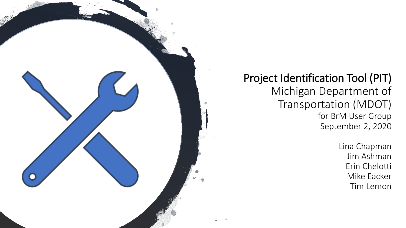

#### Project Identification Tool (PIT) Michigan Department of Transportation (MDOT) for BrM User Group September 2, 2020

Lina Chapman Jim Ashman Erin Chelotti Mike Eacker Tim Lemon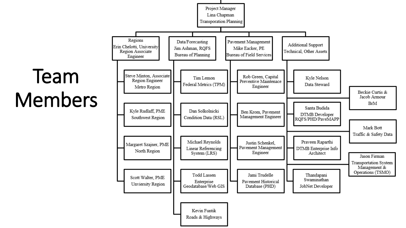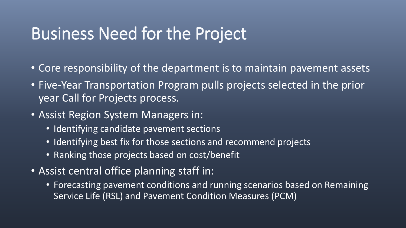#### Business Need for the Project

- Core responsibility of the department is to maintain pavement assets
- Five-Year Transportation Program pulls projects selected in the prior year Call for Projects process.
- Assist Region System Managers in:
	- Identifying candidate pavement sections
	- Identifying best fix for those sections and recommend projects
	- Ranking those projects based on cost/benefit
- Assist central office planning staff in:
	- Forecasting pavement conditions and running scenarios based on Remaining Service Life (RSL) and Pavement Condition Measures (PCM)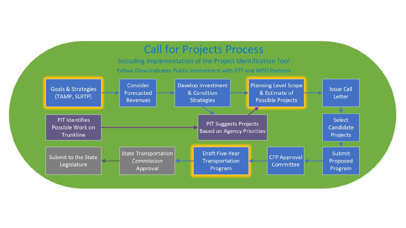#### **Call for Projects Process**

Including Implementation of the Project Identification Tool Yellow Glow Indicates Public involvement with RTF and MPO Partners

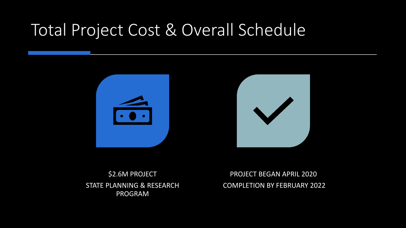## Total Project Cost & Overall Schedule



\$2.6M PROJECT STATE PLANNING & RESEARCH PROGRAM

PROJECT BEGAN APRIL 2020 COMPLETION BY FEBRUARY 2022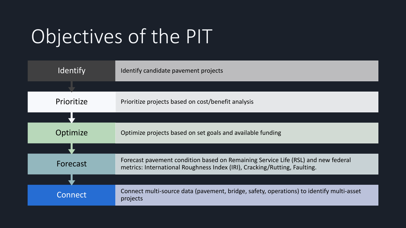# Objectives of the PIT

| Identify   | Identify candidate pavement projects                                                                                                                           |
|------------|----------------------------------------------------------------------------------------------------------------------------------------------------------------|
|            |                                                                                                                                                                |
| Prioritize | Prioritize projects based on cost/benefit analysis                                                                                                             |
|            |                                                                                                                                                                |
| Optimize   | Optimize projects based on set goals and available funding                                                                                                     |
|            |                                                                                                                                                                |
| Forecast   | Forecast pavement condition based on Remaining Service Life (RSL) and new federal<br>metrics: International Roughness Index (IRI), Cracking/Rutting, Faulting. |
|            |                                                                                                                                                                |
| Connect    | Connect multi-source data (pavement, bridge, safety, operations) to identify multi-asset<br>projects                                                           |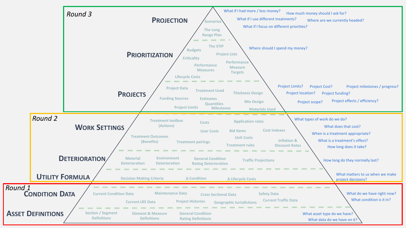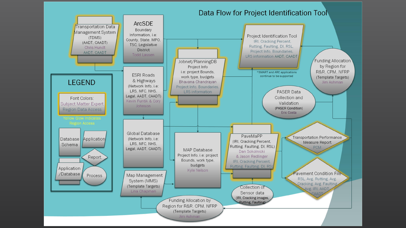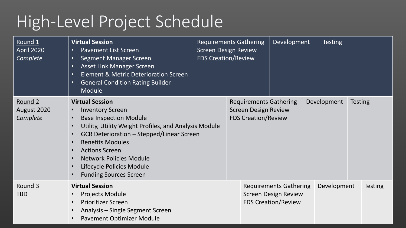## High-Level Project Schedule

| Round 1<br><b>April 2020</b><br>Complete | <b>Virtual Session</b><br><b>Pavement List Screen</b><br>$\bullet$<br><b>Segment Manager Screen</b><br>$\bullet$<br><b>Asset Link Manager Screen</b><br>$\bullet$<br><b>Element &amp; Metric Deterioration Screen</b><br>$\bullet$<br><b>General Condition Rating Builder</b><br>$\bullet$<br>Module <sup>'</sup>                                   | <b>FDS Creation/Review</b> | <b>Requirements Gathering</b><br><b>Screen Design Review</b>                               | Development                                                                                |                               | <b>Testing</b> |  |                |
|------------------------------------------|-----------------------------------------------------------------------------------------------------------------------------------------------------------------------------------------------------------------------------------------------------------------------------------------------------------------------------------------------------|----------------------------|--------------------------------------------------------------------------------------------|--------------------------------------------------------------------------------------------|-------------------------------|----------------|--|----------------|
| Round 2<br>August 2020<br>Complete       | <b>Virtual Session</b><br><b>Inventory Screen</b><br><b>Base Inspection Module</b><br>Utility, Utility Weight Profiles, and Analysis Module<br><b>GCR Deterioration - Stepped/Linear Screen</b><br><b>Benefits Modules</b><br><b>Actions Screen</b><br><b>Network Policies Module</b><br>Lifecycle Policies Module<br><b>Funding Sources Screen</b> |                            | <b>Requirements Gathering</b><br><b>Screen Design Review</b><br><b>FDS Creation/Review</b> |                                                                                            | Development<br><b>Testing</b> |                |  |                |
| Round 3<br><b>TBD</b>                    | <b>Virtual Session</b><br><b>Projects Module</b><br><b>Prioritizer Screen</b><br>Analysis - Single Segment Screen<br>Pavement Optimizer Module                                                                                                                                                                                                      |                            |                                                                                            | <b>Requirements Gathering</b><br><b>Screen Design Review</b><br><b>FDS Creation/Review</b> |                               | Development    |  | <b>Testing</b> |